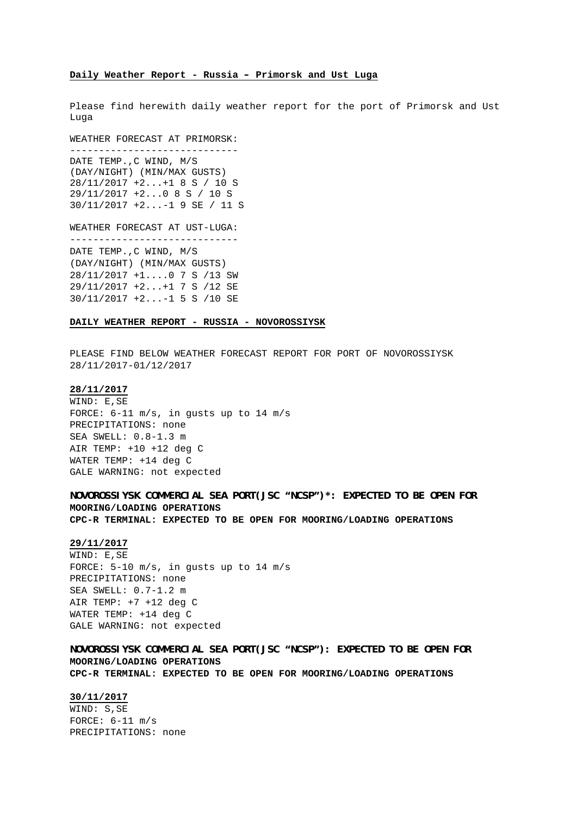### **Daily Weather Report - Russia – Primorsk and Ust Luga**

Please find herewith daily weather report for the port of Primorsk and Ust Luga

WEATHER FORECAST AT PRIMORSK: ----------------------------- DATE TEMP.,C WIND, M/S (DAY/NIGHT) (MIN/MAX GUSTS) 28/11/2017 +2...+1 8 S / 10 S 29/11/2017 +2...0 8 S / 10 S 30/11/2017 +2...-1 9 SE / 11 S

WEATHER FORECAST AT UST-LUGA: ----------------------------- DATE TEMP.,C WIND, M/S (DAY/NIGHT) (MIN/MAX GUSTS) 28/11/2017 +1....0 7 S /13 SW

29/11/2017 +2...+1 7 S /12 SE 30/11/2017 +2...-1 5 S /10 SE

**DAILY WEATHER REPORT - RUSSIA - NOVOROSSIYSK**

PLEASE FIND BELOW WEATHER FORECAST REPORT FOR PORT OF NOVOROSSIYSK 28/11/2017-01/12/2017

### **28/11/2017**

WIND: E,SE FORCE: 6-11 m/s, in gusts up to 14 m/s PRECIPITATIONS: none SEA SWELL: 0.8-1.3 m AIR TEMP: +10 +12 deg C WATER TEMP: +14 deg C GALE WARNING: not expected

**NOVOROSSIYSK COMMERCIAL SEA PORT(JSC "NCSP")\*: EXPECTED TO BE OPEN FOR MOORING/LOADING OPERATIONS CPC-R TERMINAL: EXPECTED TO BE OPEN FOR MOORING/LOADING OPERATIONS**

### **29/11/2017**

WIND: E,SE FORCE: 5-10 m/s, in gusts up to 14 m/s PRECIPITATIONS: none SEA SWELL: 0.7-1.2 m AIR TEMP: +7 +12 deg C WATER TEMP: +14 deg C GALE WARNING: not expected

**NOVOROSSIYSK COMMERCIAL SEA PORT(JSC "NCSP"): EXPECTED TO BE OPEN FOR MOORING/LOADING OPERATIONS CPC-R TERMINAL: EXPECTED TO BE OPEN FOR MOORING/LOADING OPERATIONS**

### **30/11/2017**

WIND: S,SE FORCE: 6-11 m/s PRECIPITATIONS: none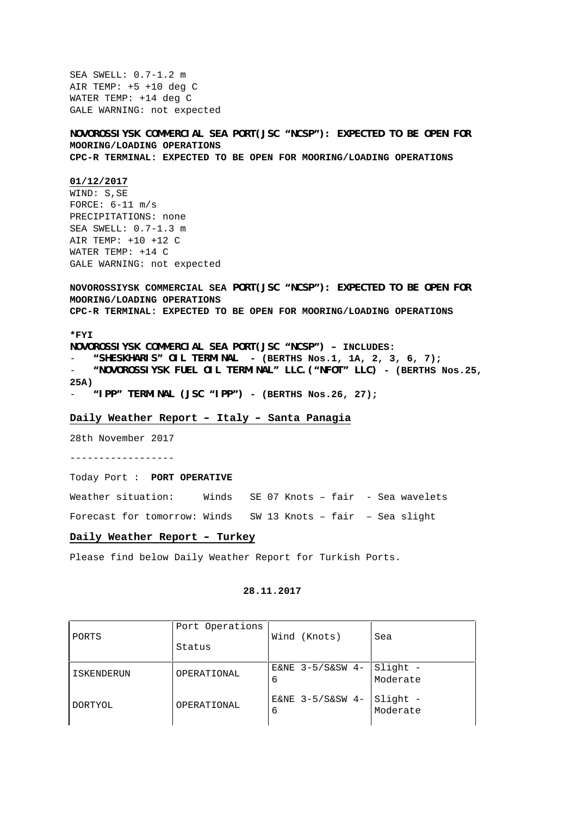SEA SWELL: 0.7-1.2 m AIR TEMP: +5 +10 deg C WATER TEMP: +14 deg C GALE WARNING: not expected

**NOVOROSSIYSK COMMERCIAL SEA PORT(JSC "NCSP"): EXPECTED TO BE OPEN FOR MOORING/LOADING OPERATIONS CPC-R TERMINAL: EXPECTED TO BE OPEN FOR MOORING/LOADING OPERATIONS**

### **01/12/2017**

WIND: S,SE FORCE: 6-11 m/s PRECIPITATIONS: none SEA SWELL: 0.7-1.3 m AIR TEMP: +10 +12 C WATER TEMP: +14 C GALE WARNING: not expected

**NOVOROSSIYSK COMMERCIAL SEA PORT(JSC "NCSP"): EXPECTED TO BE OPEN FOR MOORING/LOADING OPERATIONS CPC-R TERMINAL: EXPECTED TO BE OPEN FOR MOORING/LOADING OPERATIONS**

**\*FYI**

**NOVOROSSIYSK COMMERCIAL SEA PORT(JSC "NCSP") – INCLUDES:**

- **"SHESKHARIS" OIL TERMINAL - (BERTHS Nos.1, 1A, 2, 3, 6, 7);**

- **"NOVOROSSIYSK FUEL OIL TERMINAL" LLC.("NFOT" LLC) - (BERTHS Nos.25, 25A)**
- **"IPP" TERMINAL (JSC "IPP") - (BERTHS Nos.26, 27);**

### **Daily Weather Report – Italy – Santa Panagia**

28th November 2017

------------------

Today Port : **PORT OPERATIVE**

Weather situation: Winds SE 07 Knots - fair - Sea wavelets

Forecast for tomorrow: Winds SW 13 Knots – fair – Sea slight

### **Daily Weather Report – Turkey**

Please find below Daily Weather Report for Turkish Ports.

### **28.11.2017**

| PORTS        | Port Operations<br>Status | Wind (Knots)             | Sea                  |
|--------------|---------------------------|--------------------------|----------------------|
| I ISKENDERUN | OPERATIONAL               | E&NE $3-5/$ S&SW 4-<br>6 | Slight -<br>Moderate |
| DORTYOL      | OPERATIONAL               | E&NE 3-5/S&SW 4-<br>6    | Slight -<br>Moderate |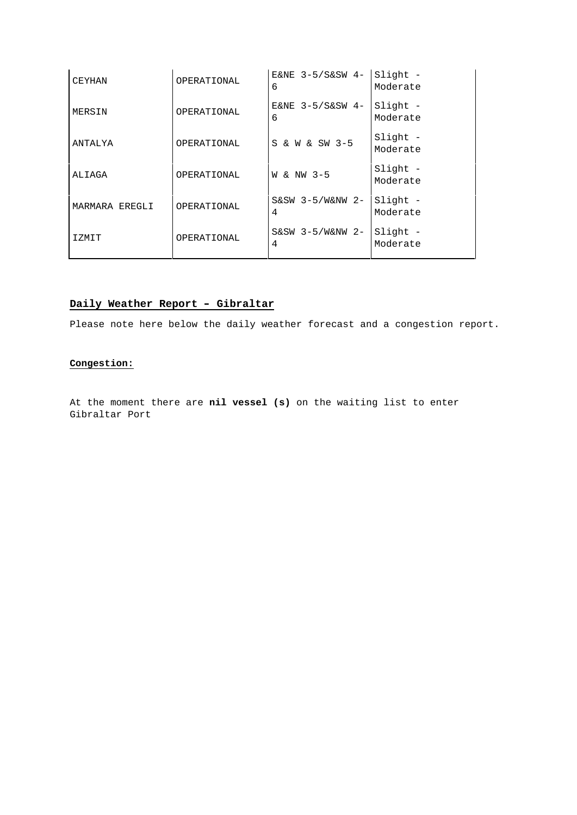| CEYHAN         | OPERATIONAL | E&NE $3-5/$ S&SW 4-<br>6 | Slight -<br>Moderate |
|----------------|-------------|--------------------------|----------------------|
| MERSIN         | OPERATIONAL | E&NE 3-5/S&SW 4-<br>6    | Slight -<br>Moderate |
| ANTALYA        | OPERATIONAL | S & W & SW 3-5           | Slight -<br>Moderate |
| ALIAGA         | OPERATIONAL | W & NW 3-5               | Slight -<br>Moderate |
| MARMARA EREGLI | OPERATIONAL | $S\&SW$ 3-5/W&NW 2-<br>4 | Slight -<br>Moderate |
| IZMIT          | OPERATIONAL | $S&SW 3-5/W&NW 2-$<br>4  | Slight -<br>Moderate |

## **Daily Weather Report – Gibraltar**

Please note here below the daily weather forecast and a congestion report.

### **Congestion:**

At the moment there are **nil vessel (s)** on the waiting list to enter Gibraltar Port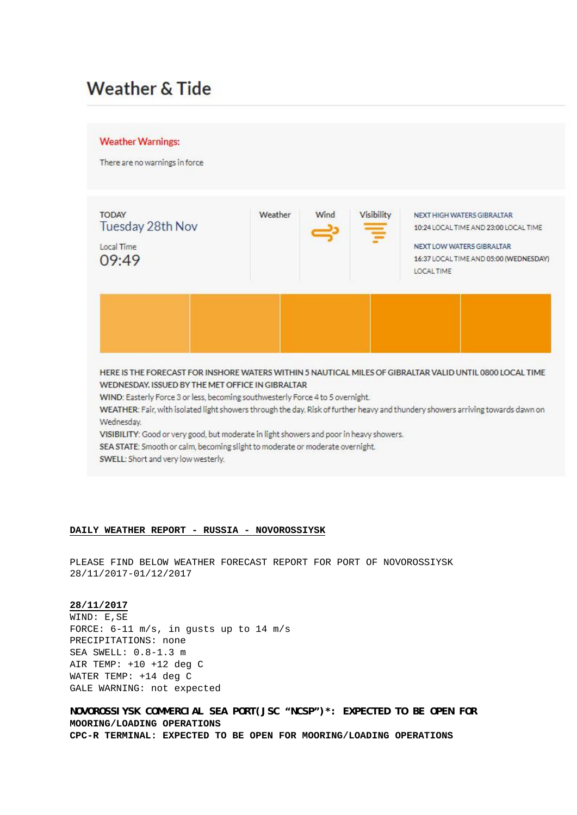# Weather & Tide



### **DAILY WEATHER REPORT - RUSSIA - NOVOROSSIYSK**

PLEASE FIND BELOW WEATHER FORECAST REPORT FOR PORT OF NOVOROSSIYSK 28/11/2017-01/12/2017

### **28/11/2017**

WIND: E,SE FORCE: 6-11 m/s, in gusts up to 14 m/s PRECIPITATIONS: none SEA SWELL: 0.8-1.3 m AIR TEMP: +10 +12 deg C WATER TEMP: +14 deg C GALE WARNING: not expected

**NOVOROSSIYSK COMMERCIAL SEA PORT(JSC "NCSP")\*: EXPECTED TO BE OPEN FOR MOORING/LOADING OPERATIONS CPC-R TERMINAL: EXPECTED TO BE OPEN FOR MOORING/LOADING OPERATIONS**